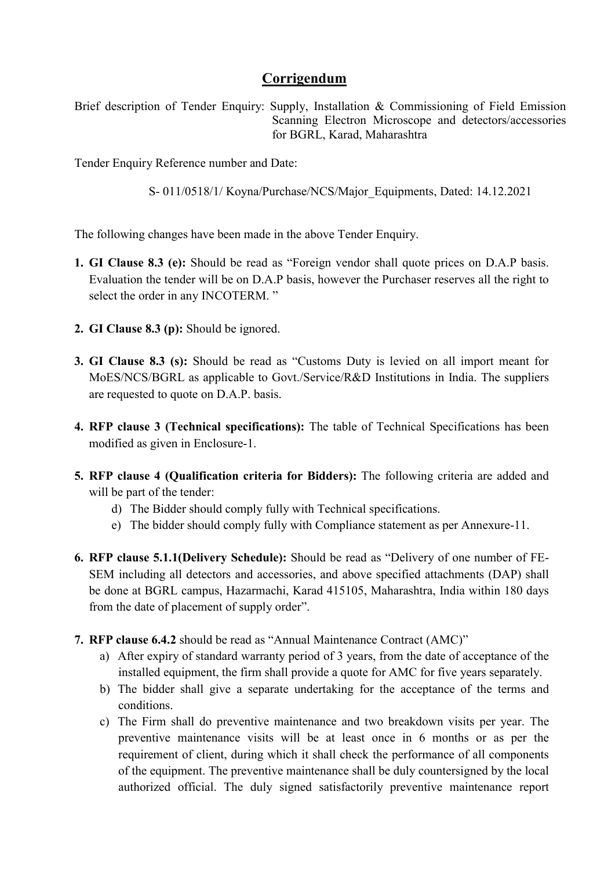# Corrigendum

Brief description of Tender Enquiry: Supply, Installation & Commissioning of Field Emission Scanning Electron Microscope and detectors/accessories for BGRL, Karad, Maharashtra

Tender Enquiry Reference number and Date:

S- 011/0518/1/ Koyna/Purchase/NCS/Major\_Equipments, Dated: 14.12.2021

The following changes have been made in the above Tender Enquiry.

- 1. GI Clause 8.3 (e): Should be read as "Foreign vendor shall quote prices on D.A.P basis. Evaluation the tender will be on D.A.P basis, however the Purchaser reserves all the right to select the order in any INCOTERM. "
- 2. GI Clause 8.3 (p): Should be ignored.
- 3. GI Clause 8.3 (s): Should be read as "Customs Duty is levied on all import meant for MoES/NCS/BGRL as applicable to Govt./Service/R&D Institutions in India. The suppliers are requested to quote on D.A.P. basis.
- 4. RFP clause 3 (Technical specifications): The table of Technical Specifications has been modified as given in Enclosure-1.
- 5. RFP clause 4 (Qualification criteria for Bidders): The following criteria are added and will be part of the tender:
	- d) The Bidder should comply fully with Technical specifications.
	- e) The bidder should comply fully with Compliance statement as per Annexure-11.
- 6. RFP clause 5.1.1(Delivery Schedule): Should be read as "Delivery of one number of FE-SEM including all detectors and accessories, and above specified attachments (DAP) shall be done at BGRL campus, Hazarmachi, Karad 415105, Maharashtra, India within 180 days from the date of placement of supply order".
- 7. RFP clause 6.4.2 should be read as "Annual Maintenance Contract (AMC)"
	- a) After expiry of standard warranty period of 3 years, from the date of acceptance of the installed equipment, the firm shall provide a quote for AMC for five years separately.
	- b) The bidder shall give a separate undertaking for the acceptance of the terms and conditions.
	- c) The Firm shall do preventive maintenance and two breakdown visits per year. The preventive maintenance visits will be at least once in 6 months or as per the requirement of client, during which it shall check the performance of all components of the equipment. The preventive maintenance shall be duly countersigned by the local authorized official. The duly signed satisfactorily preventive maintenance report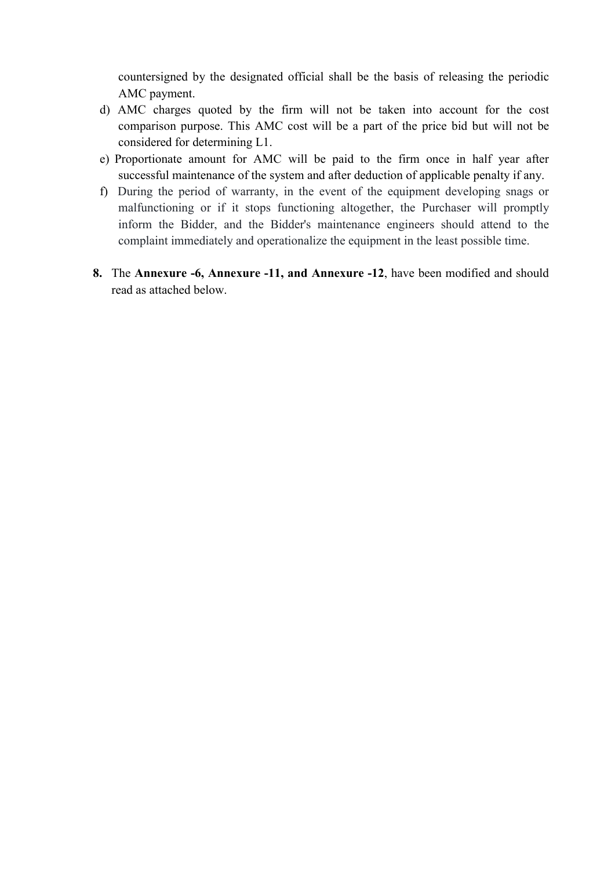countersigned by the designated official shall be the basis of releasing the periodic AMC payment.

- d) AMC charges quoted by the firm will not be taken into account for the cost comparison purpose. This AMC cost will be a part of the price bid but will not be considered for determining L1.
- e) Proportionate amount for AMC will be paid to the firm once in half year after successful maintenance of the system and after deduction of applicable penalty if any.
- f) During the period of warranty, in the event of the equipment developing snags or malfunctioning or if it stops functioning altogether, the Purchaser will promptly inform the Bidder, and the Bidder's maintenance engineers should attend to the complaint immediately and operationalize the equipment in the least possible time.
- 8. The Annexure -6, Annexure -11, and Annexure -12, have been modified and should read as attached below.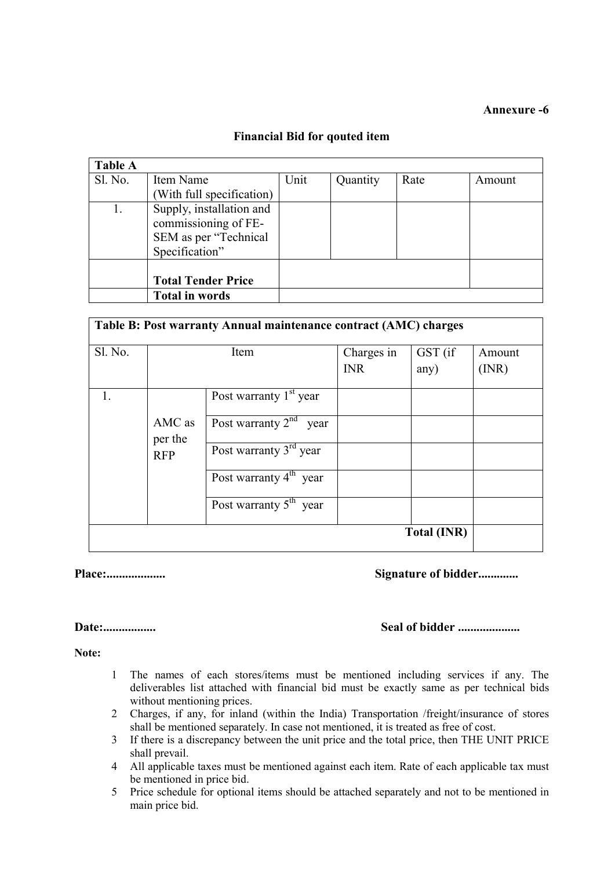## Annexure -6

## Financial Bid for qouted item

| <b>Table A</b> |                                                                                             |      |          |      |        |
|----------------|---------------------------------------------------------------------------------------------|------|----------|------|--------|
| Sl. No.        | Item Name                                                                                   | Unit | Quantity | Rate | Amount |
|                | (With full specification)                                                                   |      |          |      |        |
|                | Supply, installation and<br>commissioning of FE-<br>SEM as per "Technical<br>Specification" |      |          |      |        |
|                | <b>Total Tender Price</b>                                                                   |      |          |      |        |
|                | <b>Total in words</b>                                                                       |      |          |      |        |

| Sl. No. |                   | Item                        | Charges in<br><b>INR</b> | GST (if<br>any)    | Amount<br>(INR) |
|---------|-------------------|-----------------------------|--------------------------|--------------------|-----------------|
|         |                   | Post warranty $1st$ year    |                          |                    |                 |
|         | AMC as<br>per the | Post warranty $2nd$<br>year |                          |                    |                 |
|         | <b>RFP</b>        | Post warranty $3rd$ year    |                          |                    |                 |
|         |                   | Post warranty $4th$ year    |                          |                    |                 |
|         |                   | Post warranty $5th$ year    |                          |                    |                 |
|         |                   |                             |                          | <b>Total (INR)</b> |                 |

## Place:................... Signature of bidder.............

#### Date:................. Seal of bidder ....................

Note:

- 1 The names of each stores/items must be mentioned including services if any. The deliverables list attached with financial bid must be exactly same as per technical bids without mentioning prices.
- 2 Charges, if any, for inland (within the India) Transportation /freight/insurance of stores shall be mentioned separately. In case not mentioned, it is treated as free of cost.
- 3 If there is a discrepancy between the unit price and the total price, then THE UNIT PRICE shall prevail.
- 4 All applicable taxes must be mentioned against each item. Rate of each applicable tax must be mentioned in price bid.
- 5 Price schedule for optional items should be attached separately and not to be mentioned in main price bid.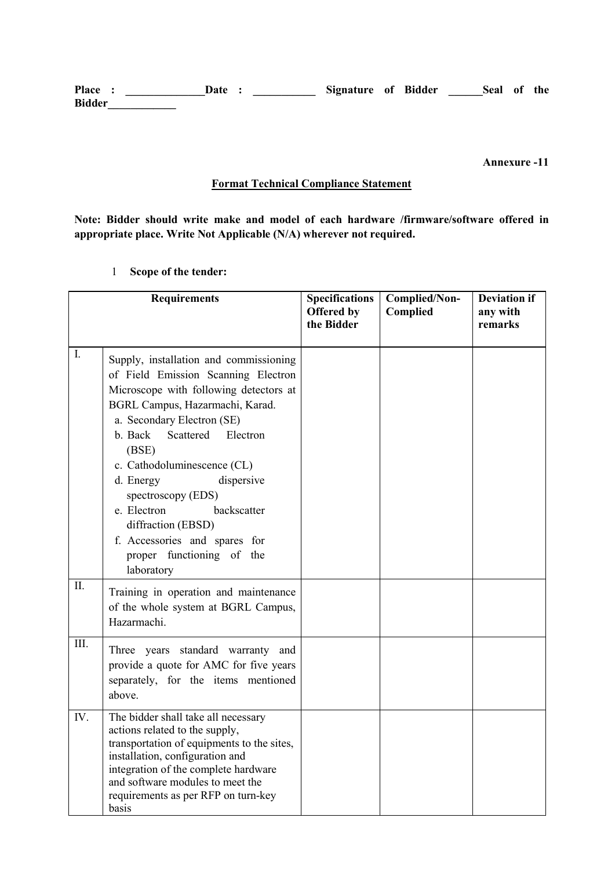Place : \_\_\_\_\_\_\_\_\_\_\_\_\_\_\_Date : \_\_\_\_\_\_\_\_\_\_\_\_\_ Signature of Bidder \_\_\_\_\_\_Seal of the Bidder\_\_\_\_\_\_\_\_\_\_\_\_

Annexure -11

## Format Technical Compliance Statement

Note: Bidder should write make and model of each hardware /firmware/software offered in appropriate place. Write Not Applicable (N/A) wherever not required.

1 Scope of the tender:

|                | <b>Requirements</b>                                                                                                                                                                                                                                                                                                                                                                                                                                   | <b>Specifications</b><br>Offered by<br>the Bidder | Complied/Non-<br>Complied | <b>Deviation if</b><br>any with<br>remarks |
|----------------|-------------------------------------------------------------------------------------------------------------------------------------------------------------------------------------------------------------------------------------------------------------------------------------------------------------------------------------------------------------------------------------------------------------------------------------------------------|---------------------------------------------------|---------------------------|--------------------------------------------|
| $\mathbf{I}$ . | Supply, installation and commissioning<br>of Field Emission Scanning Electron<br>Microscope with following detectors at<br>BGRL Campus, Hazarmachi, Karad.<br>a. Secondary Electron (SE)<br>b. Back<br>Scattered<br>Electron<br>(BSE)<br>c. Cathodoluminescence (CL)<br>dispersive<br>d. Energy<br>spectroscopy (EDS)<br>e. Electron<br>backscatter<br>diffraction (EBSD)<br>f. Accessories and spares for<br>proper functioning of the<br>laboratory |                                                   |                           |                                            |
| II.            | Training in operation and maintenance<br>of the whole system at BGRL Campus,<br>Hazarmachi.                                                                                                                                                                                                                                                                                                                                                           |                                                   |                           |                                            |
| III.           | Three years standard warranty and<br>provide a quote for AMC for five years<br>separately, for the items mentioned<br>above.                                                                                                                                                                                                                                                                                                                          |                                                   |                           |                                            |
| IV.            | The bidder shall take all necessary<br>actions related to the supply,<br>transportation of equipments to the sites,<br>installation, configuration and<br>integration of the complete hardware<br>and software modules to meet the<br>requirements as per RFP on turn-key<br>basis                                                                                                                                                                    |                                                   |                           |                                            |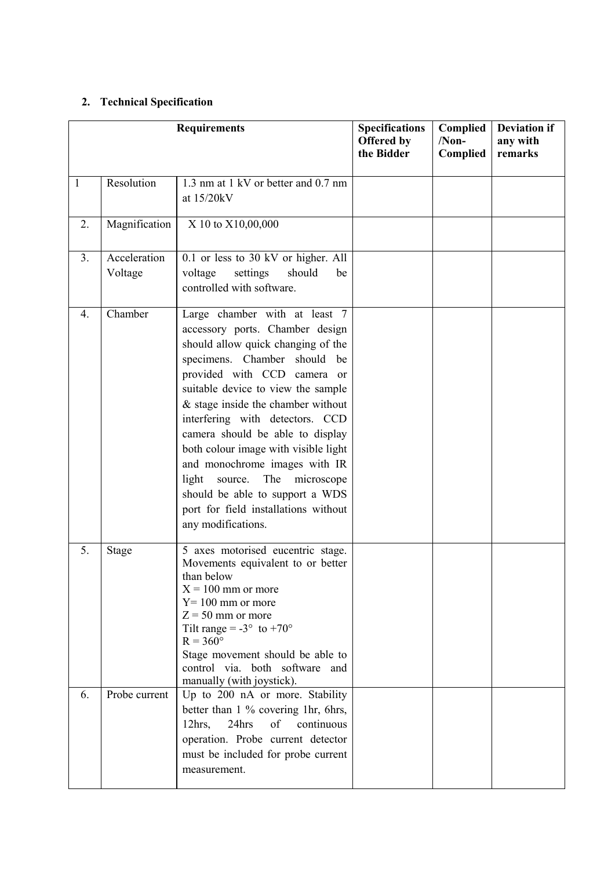## 2. Technical Specification

|                  |                         | <b>Requirements</b>                                                                                                                                                                                                                                                                                                                                                                                                                                                                                                                     | <b>Specifications</b><br>Offered by<br>the Bidder | Complied<br>$/Non-$<br>Complied | <b>Deviation if</b><br>any with<br>remarks |
|------------------|-------------------------|-----------------------------------------------------------------------------------------------------------------------------------------------------------------------------------------------------------------------------------------------------------------------------------------------------------------------------------------------------------------------------------------------------------------------------------------------------------------------------------------------------------------------------------------|---------------------------------------------------|---------------------------------|--------------------------------------------|
| 1                | Resolution              | 1.3 nm at 1 kV or better and 0.7 nm<br>at 15/20kV                                                                                                                                                                                                                                                                                                                                                                                                                                                                                       |                                                   |                                 |                                            |
| 2.               | Magnification           | X 10 to X10,00,000                                                                                                                                                                                                                                                                                                                                                                                                                                                                                                                      |                                                   |                                 |                                            |
| 3.               | Acceleration<br>Voltage | 0.1 or less to 30 kV or higher. All<br>voltage<br>settings<br>should<br>be<br>controlled with software.                                                                                                                                                                                                                                                                                                                                                                                                                                 |                                                   |                                 |                                            |
| $\overline{4}$ . | Chamber                 | Large chamber with at least 7<br>accessory ports. Chamber design<br>should allow quick changing of the<br>specimens. Chamber should be<br>provided with CCD camera or<br>suitable device to view the sample<br>$&$ stage inside the chamber without<br>interfering with detectors. CCD<br>camera should be able to display<br>both colour image with visible light<br>and monochrome images with IR<br>light<br>source. The microscope<br>should be able to support a WDS<br>port for field installations without<br>any modifications. |                                                   |                                 |                                            |
| 5.               | <b>Stage</b>            | 5 axes motorised eucentric stage.<br>Movements equivalent to or better<br>than below<br>$X = 100$ mm or more<br>$Y = 100$ mm or more<br>$Z = 50$ mm or more<br>Tilt range = $-3^{\circ}$ to $+70^{\circ}$<br>$R = 360^\circ$<br>Stage movement should be able to<br>control via. both software and<br>manually (with joystick).                                                                                                                                                                                                         |                                                   |                                 |                                            |
| 6.               | Probe current           | Up to 200 nA or more. Stability<br>better than 1 % covering 1hr, 6hrs,<br>24hrs<br>continuous<br>of<br>$12hrs$ ,<br>operation. Probe current detector<br>must be included for probe current<br>measurement.                                                                                                                                                                                                                                                                                                                             |                                                   |                                 |                                            |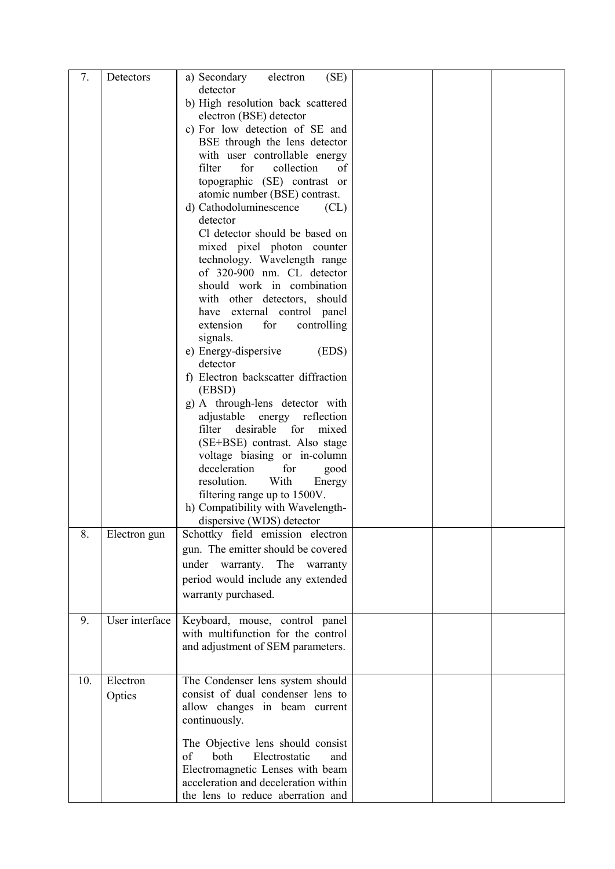| detector<br>b) High resolution back scattered<br>electron (BSE) detector  |  |
|---------------------------------------------------------------------------|--|
|                                                                           |  |
| c) For low detection of SE and                                            |  |
| BSE through the lens detector                                             |  |
| with user controllable energy                                             |  |
| filter<br>for<br>collection<br>of                                         |  |
| topographic (SE) contrast or                                              |  |
| atomic number (BSE) contrast.                                             |  |
| d) Cathodoluminescence<br>CL)<br>detector                                 |  |
| Cl detector should be based on                                            |  |
| mixed pixel photon counter                                                |  |
| technology. Wavelength range                                              |  |
| of 320-900 nm. CL detector                                                |  |
| should work in combination                                                |  |
| with other detectors, should<br>have external control panel               |  |
| controlling<br>extension<br>for                                           |  |
| signals.                                                                  |  |
| e) Energy-dispersive<br>(EDS)                                             |  |
| detector                                                                  |  |
| f) Electron backscatter diffraction                                       |  |
| (EBSD)<br>g) A through-lens detector with                                 |  |
| adjustable<br>energy<br>reflection                                        |  |
| filter<br>desirable<br>for<br>mixed                                       |  |
| (SE+BSE) contrast. Also stage                                             |  |
| voltage biasing or in-column                                              |  |
| deceleration<br>for<br>good                                               |  |
| With<br>resolution.<br>Energy<br>filtering range up to 1500V.             |  |
| h) Compatibility with Wavelength-                                         |  |
| dispersive (WDS) detector                                                 |  |
| 8.<br>Electron gun<br>Schottky field emission electron                    |  |
| gun. The emitter should be covered                                        |  |
| under warranty. The warranty                                              |  |
| period would include any extended                                         |  |
| warranty purchased.                                                       |  |
| User interface<br>Keyboard, mouse, control panel<br>9.                    |  |
| with multifunction for the control                                        |  |
| and adjustment of SEM parameters.                                         |  |
|                                                                           |  |
| Electron<br>10.<br>The Condenser lens system should                       |  |
| consist of dual condenser lens to<br>Optics                               |  |
| allow changes in beam current                                             |  |
| continuously.                                                             |  |
| The Objective lens should consist                                         |  |
| both<br>Electrostatic<br>of<br>and                                        |  |
| Electromagnetic Lenses with beam                                          |  |
| acceleration and deceleration within<br>the lens to reduce aberration and |  |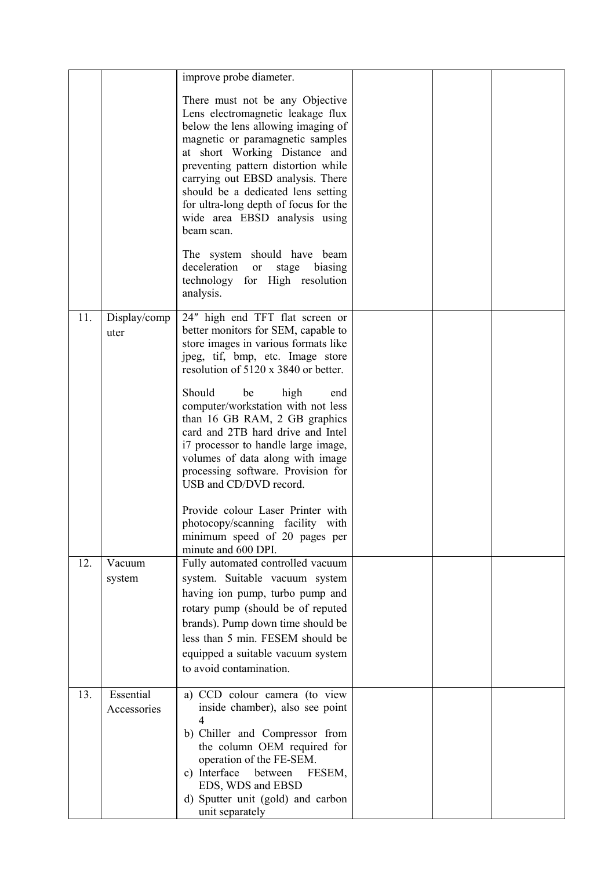|     |                          | improve probe diameter.                                                                                                                                                                                                                                                                                                                                                                   |  |  |
|-----|--------------------------|-------------------------------------------------------------------------------------------------------------------------------------------------------------------------------------------------------------------------------------------------------------------------------------------------------------------------------------------------------------------------------------------|--|--|
|     |                          | There must not be any Objective<br>Lens electromagnetic leakage flux<br>below the lens allowing imaging of<br>magnetic or paramagnetic samples<br>at short Working Distance and<br>preventing pattern distortion while<br>carrying out EBSD analysis. There<br>should be a dedicated lens setting<br>for ultra-long depth of focus for the<br>wide area EBSD analysis using<br>beam scan. |  |  |
|     |                          | The system should have beam<br>deceleration<br>stage<br>biasing<br><b>or</b><br>technology for High resolution<br>analysis.                                                                                                                                                                                                                                                               |  |  |
| 11. | Display/comp<br>uter     | 24" high end TFT flat screen or<br>better monitors for SEM, capable to<br>store images in various formats like<br>jpeg, tif, bmp, etc. Image store<br>resolution of 5120 x 3840 or better.                                                                                                                                                                                                |  |  |
|     |                          | Should<br>be<br>high<br>end<br>computer/workstation with not less<br>than 16 GB RAM, 2 GB graphics<br>card and 2TB hard drive and Intel<br>i7 processor to handle large image,<br>volumes of data along with image<br>processing software. Provision for<br>USB and CD/DVD record.                                                                                                        |  |  |
|     |                          | Provide colour Laser Printer with<br>photocopy/scanning facility with<br>minimum speed of 20 pages per<br>minute and 600 DPI.                                                                                                                                                                                                                                                             |  |  |
| 12. | Vacuum<br>system         | Fully automated controlled vacuum<br>system. Suitable vacuum system<br>having ion pump, turbo pump and<br>rotary pump (should be of reputed<br>brands). Pump down time should be<br>less than 5 min. FESEM should be<br>equipped a suitable vacuum system<br>to avoid contamination.                                                                                                      |  |  |
| 13. | Essential<br>Accessories | a) CCD colour camera (to view<br>inside chamber), also see point<br>b) Chiller and Compressor from<br>the column OEM required for<br>operation of the FE-SEM.<br>c) Interface between<br>FESEM,<br>EDS, WDS and EBSD<br>d) Sputter unit (gold) and carbon<br>unit separately                                                                                                              |  |  |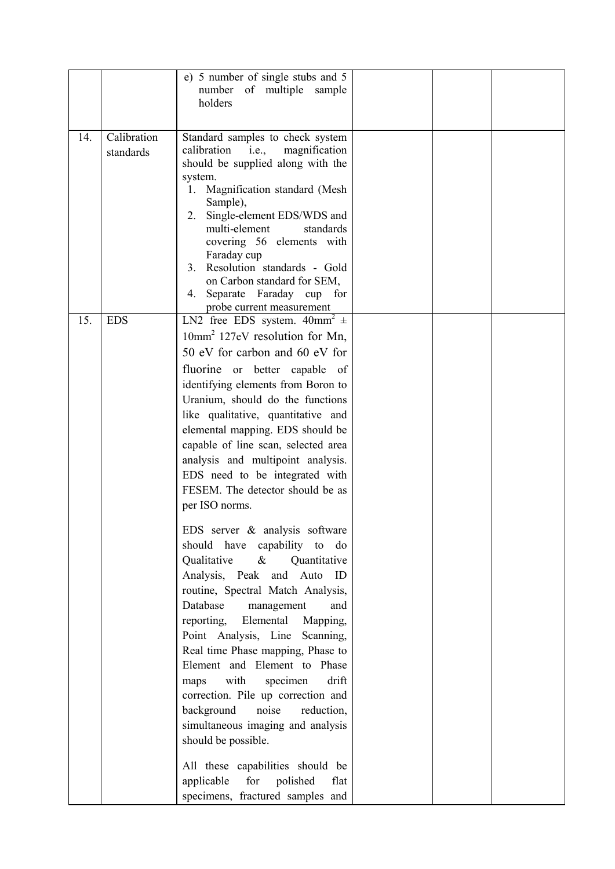|     |                          | e) 5 number of single stubs and 5<br>number of multiple sample<br>holders                                                                                                                                                                                                                                                                                                                                                                                                                                                                                                                                                                               |  |  |
|-----|--------------------------|---------------------------------------------------------------------------------------------------------------------------------------------------------------------------------------------------------------------------------------------------------------------------------------------------------------------------------------------------------------------------------------------------------------------------------------------------------------------------------------------------------------------------------------------------------------------------------------------------------------------------------------------------------|--|--|
| 14. | Calibration<br>standards | Standard samples to check system<br>calibration<br>i.e.,<br>magnification<br>should be supplied along with the<br>system.<br>Magnification standard (Mesh<br>1.<br>Sample),<br>Single-element EDS/WDS and<br>2.<br>multi-element<br>standards<br>covering 56 elements with<br>Faraday cup<br>Resolution standards - Gold<br>3.<br>on Carbon standard for SEM,<br>Separate Faraday cup for<br>4.                                                                                                                                                                                                                                                         |  |  |
| 15. | <b>EDS</b>               | probe current measurement<br>LN2 free EDS system. $40mm^2 \pm$<br>$10mm2$ 127eV resolution for Mn,<br>50 eV for carbon and 60 eV for<br>fluorine or better capable of<br>identifying elements from Boron to<br>Uranium, should do the functions<br>like qualitative, quantitative and<br>elemental mapping. EDS should be<br>capable of line scan, selected area<br>analysis and multipoint analysis.<br>EDS need to be integrated with<br>FESEM. The detector should be as<br>per ISO norms.                                                                                                                                                           |  |  |
|     |                          | EDS server & analysis software<br>should have capability to<br>do<br>Qualitative<br>Quantitative<br>$\&$<br>Analysis, Peak and Auto ID<br>routine, Spectral Match Analysis,<br>Database<br>management<br>and<br>Elemental<br>reporting,<br>Mapping,<br>Point Analysis, Line Scanning,<br>Real time Phase mapping, Phase to<br>Element and Element to Phase<br>with<br>drift<br>specimen<br>maps<br>correction. Pile up correction and<br>background<br>noise<br>reduction,<br>simultaneous imaging and analysis<br>should be possible.<br>All these capabilities should be<br>applicable<br>for<br>polished<br>flat<br>specimens, fractured samples and |  |  |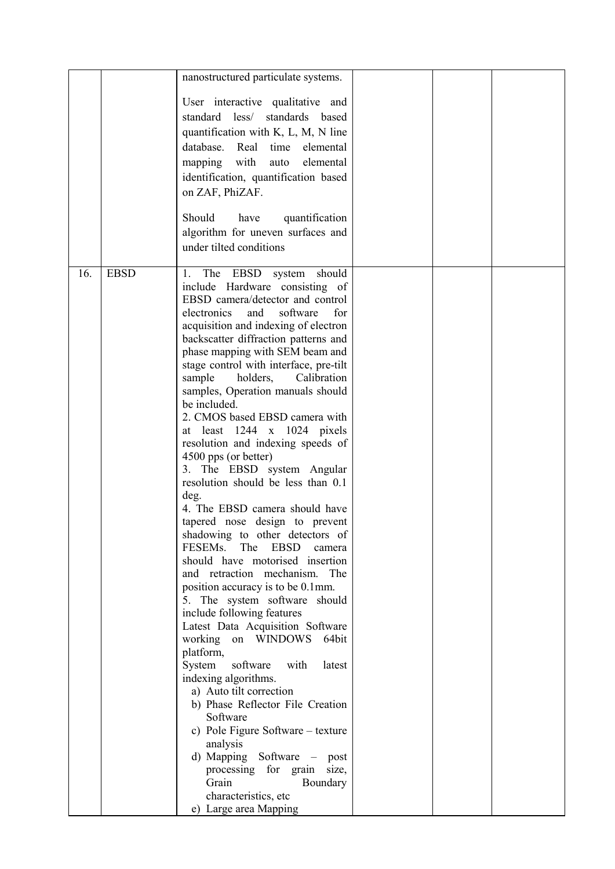| User interactive qualitative and<br>standard less/<br>standards based<br>quantification with $K$ , $L$ , $M$ , $N$ line<br>database. Real<br>time<br>elemental<br>mapping with<br>elemental<br>auto                                                                                                                                                                                                                                                                                                                                                                                                                                                                                                                                                                                                                                                                                                                                                                                                                                                                                                                                                                                                                                                                                                                                                                                                          |  |
|--------------------------------------------------------------------------------------------------------------------------------------------------------------------------------------------------------------------------------------------------------------------------------------------------------------------------------------------------------------------------------------------------------------------------------------------------------------------------------------------------------------------------------------------------------------------------------------------------------------------------------------------------------------------------------------------------------------------------------------------------------------------------------------------------------------------------------------------------------------------------------------------------------------------------------------------------------------------------------------------------------------------------------------------------------------------------------------------------------------------------------------------------------------------------------------------------------------------------------------------------------------------------------------------------------------------------------------------------------------------------------------------------------------|--|
| identification, quantification based<br>on ZAF, PhiZAF.<br>Should<br>have<br>quantification                                                                                                                                                                                                                                                                                                                                                                                                                                                                                                                                                                                                                                                                                                                                                                                                                                                                                                                                                                                                                                                                                                                                                                                                                                                                                                                  |  |
| algorithm for uneven surfaces and<br>under tilted conditions                                                                                                                                                                                                                                                                                                                                                                                                                                                                                                                                                                                                                                                                                                                                                                                                                                                                                                                                                                                                                                                                                                                                                                                                                                                                                                                                                 |  |
| <b>EBSD</b><br>16.<br>EBSD<br>should<br>The<br>system<br>1.<br>include Hardware consisting of<br>EBSD camera/detector and control<br>electronics<br>and<br>software<br>for<br>acquisition and indexing of electron<br>backscatter diffraction patterns and<br>phase mapping with SEM beam and<br>stage control with interface, pre-tilt<br>holders,<br>Calibration<br>sample<br>samples, Operation manuals should<br>be included.<br>2. CMOS based EBSD camera with<br>at least $1244 \times 1024$ pixels<br>resolution and indexing speeds of<br>4500 pps (or better)<br>3. The EBSD system Angular<br>resolution should be less than 0.1<br>deg.<br>4. The EBSD camera should have<br>tapered nose design to prevent<br>shadowing to other detectors of<br>FESEM <sub>s.</sub><br>The<br><b>EBSD</b><br>camera<br>should have motorised insertion<br>and retraction mechanism. The<br>position accuracy is to be 0.1mm.<br>5. The system software should<br>include following features<br>Latest Data Acquisition Software<br>working<br>on WINDOWS<br>64bit<br>platform,<br>System<br>software<br>with<br>latest<br>indexing algorithms.<br>a) Auto tilt correction<br>b) Phase Reflector File Creation<br>Software<br>c) Pole Figure Software – texture<br>analysis<br>d) Mapping Software – post<br>processing for grain<br>size,<br>Grain<br>Boundary<br>characteristics, etc<br>e) Large area Mapping |  |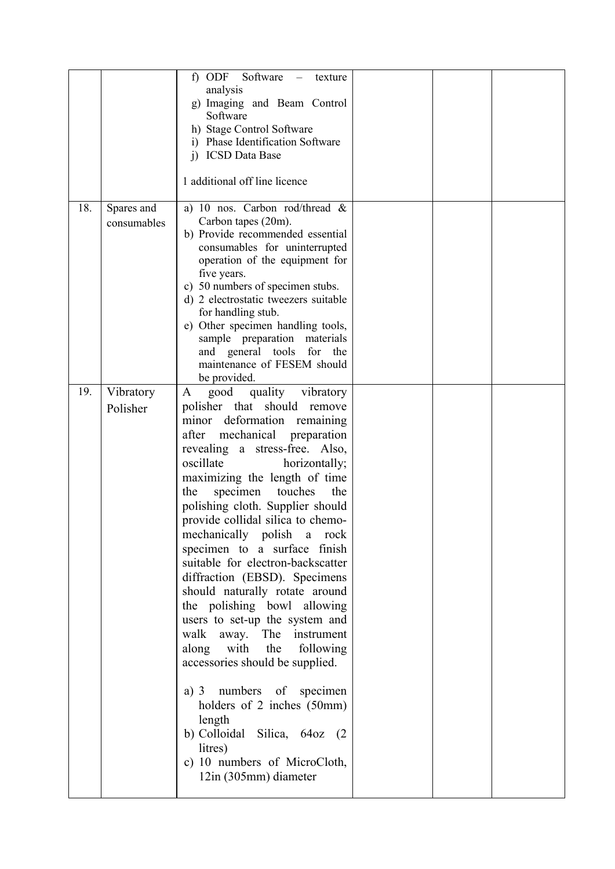|     |                           | ODF Software<br>$\ddot{\phantom{1}}$<br>texture<br>analysis<br>g) Imaging and Beam Control<br>Software<br>h) Stage Control Software<br>i) Phase Identification Software<br>i) ICSD Data Base<br>1 additional off line licence                                                                                                                                                                                                                                                                                                                                                                                                                                                                                                                                                                                                                                           |  |  |
|-----|---------------------------|-------------------------------------------------------------------------------------------------------------------------------------------------------------------------------------------------------------------------------------------------------------------------------------------------------------------------------------------------------------------------------------------------------------------------------------------------------------------------------------------------------------------------------------------------------------------------------------------------------------------------------------------------------------------------------------------------------------------------------------------------------------------------------------------------------------------------------------------------------------------------|--|--|
| 18. | Spares and<br>consumables | a) 10 nos. Carbon rod/thread $\&$<br>Carbon tapes (20m).<br>b) Provide recommended essential<br>consumables for uninterrupted<br>operation of the equipment for<br>five years.<br>50 numbers of specimen stubs.<br>C)<br>d) 2 electrostatic tweezers suitable<br>for handling stub.<br>e) Other specimen handling tools,<br>sample preparation materials<br>and general tools for the<br>maintenance of FESEM should<br>be provided.                                                                                                                                                                                                                                                                                                                                                                                                                                    |  |  |
| 19. | Vibratory<br>Polisher     | quality vibratory<br>good<br>A<br>polisher that should remove<br>minor deformation remaining<br>mechanical preparation<br>after<br>revealing a stress-free. Also,<br>oscillate<br>horizontally;<br>maximizing the length of time<br>specimen<br>touches<br>the<br>the<br>polishing cloth. Supplier should<br>provide collidal silica to chemo-<br>mechanically polish a<br>rock<br>specimen to a surface finish<br>suitable for electron-backscatter<br>diffraction (EBSD). Specimens<br>should naturally rotate around<br>the polishing bowl allowing<br>users to set-up the system and<br>walk<br>away. The instrument<br>along with the<br>following<br>accessories should be supplied.<br>numbers of specimen<br>a) $3$<br>holders of 2 inches (50mm)<br>length<br>b) Colloidal Silica, 64oz (2<br>litres)<br>c) 10 numbers of MicroCloth,<br>12in (305mm) diameter |  |  |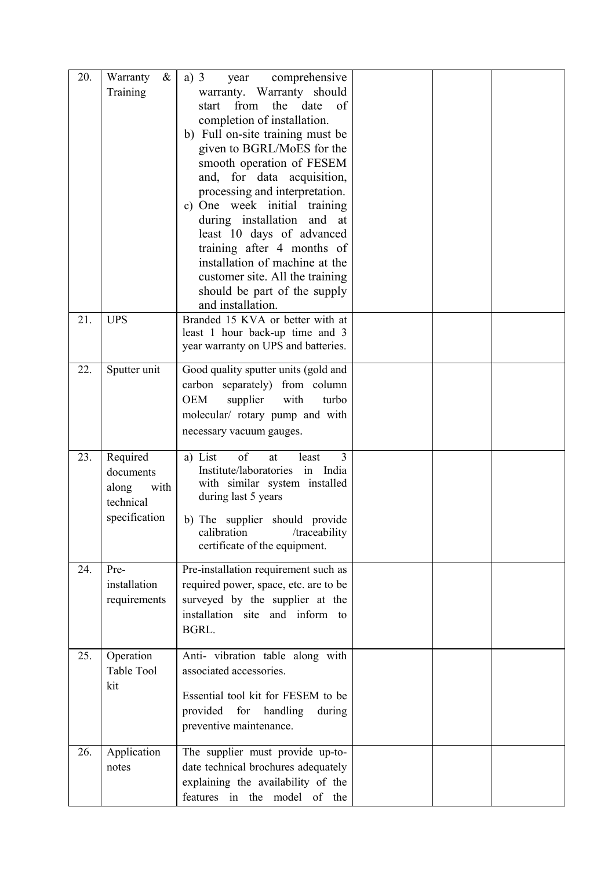| 20. | Warranty<br>$\&$<br>Training                                         | a) $3$<br>comprehensive<br>year<br>warranty. Warranty should<br>from<br>the<br>of<br>date<br>start<br>completion of installation.<br>b) Full on-site training must be<br>given to BGRL/MoES for the<br>smooth operation of FESEM<br>and, for data acquisition,<br>processing and interpretation.<br>c) One week initial training<br>during installation and at<br>least 10 days of advanced<br>training after 4 months of<br>installation of machine at the<br>customer site. All the training<br>should be part of the supply<br>and installation. |  |  |
|-----|----------------------------------------------------------------------|-----------------------------------------------------------------------------------------------------------------------------------------------------------------------------------------------------------------------------------------------------------------------------------------------------------------------------------------------------------------------------------------------------------------------------------------------------------------------------------------------------------------------------------------------------|--|--|
| 21. | <b>UPS</b>                                                           | Branded 15 KVA or better with at<br>least 1 hour back-up time and 3<br>year warranty on UPS and batteries.                                                                                                                                                                                                                                                                                                                                                                                                                                          |  |  |
| 22. | Sputter unit                                                         | Good quality sputter units (gold and<br>carbon separately) from column<br><b>OEM</b><br>supplier<br>with<br>turbo<br>molecular/ rotary pump and with<br>necessary vacuum gauges.                                                                                                                                                                                                                                                                                                                                                                    |  |  |
| 23. | Required<br>documents<br>along<br>with<br>technical<br>specification | of<br>3<br>a) List<br>at<br>least<br>Institute/laboratories<br>in India<br>with similar system installed<br>during last 5 years<br>b) The supplier should provide<br>/traceability<br>calibration<br>certificate of the equipment.                                                                                                                                                                                                                                                                                                                  |  |  |
| 24. | Pre-<br>installation<br>requirements                                 | Pre-installation requirement such as<br>required power, space, etc. are to be<br>surveyed by the supplier at the<br>installation site and inform to<br>BGRL.                                                                                                                                                                                                                                                                                                                                                                                        |  |  |
| 25. | Operation<br>Table Tool<br>kit                                       | Anti- vibration table along with<br>associated accessories.<br>Essential tool kit for FESEM to be<br>provided for handling<br>during<br>preventive maintenance.                                                                                                                                                                                                                                                                                                                                                                                     |  |  |
| 26. | Application<br>notes                                                 | The supplier must provide up-to-<br>date technical brochures adequately<br>explaining the availability of the<br>features in the model of the                                                                                                                                                                                                                                                                                                                                                                                                       |  |  |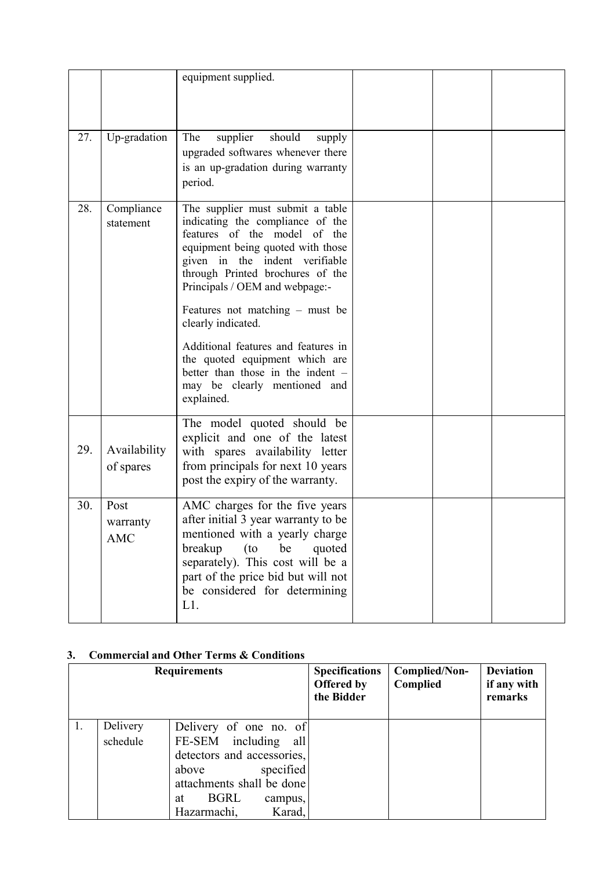|     |                                | equipment supplied.                                                                                                                                                                                                                                                          |  |  |
|-----|--------------------------------|------------------------------------------------------------------------------------------------------------------------------------------------------------------------------------------------------------------------------------------------------------------------------|--|--|
| 27. | Up-gradation                   | The<br>supplier<br>should<br>supply<br>upgraded softwares whenever there<br>is an up-gradation during warranty<br>period.                                                                                                                                                    |  |  |
| 28. | Compliance<br>statement        | The supplier must submit a table<br>indicating the compliance of the<br>features of the model of the<br>equipment being quoted with those<br>given in the indent verifiable<br>through Printed brochures of the<br>Principals / OEM and webpage:-                            |  |  |
|     |                                | Features not matching $-$ must be<br>clearly indicated.                                                                                                                                                                                                                      |  |  |
|     |                                | Additional features and features in<br>the quoted equipment which are<br>better than those in the indent -<br>may be clearly mentioned and<br>explained.                                                                                                                     |  |  |
| 29. | Availability<br>of spares      | The model quoted should be<br>explicit and one of the latest<br>with spares availability letter<br>from principals for next 10 years<br>post the expiry of the warranty.                                                                                                     |  |  |
| 30. | Post<br>warranty<br><b>AMC</b> | AMC charges for the five years<br>after initial 3 year warranty to be<br>mentioned with a yearly charge<br>breakup<br>(t <sub>o</sub> )<br>be<br>quoted<br>separately). This cost will be a<br>part of the price bid but will not<br>be considered for determining<br>$L1$ . |  |  |

## 3. Commercial and Other Terms & Conditions

|    |                      | <b>Requirements</b>                                                                                                                                                                         | <b>Specifications</b><br><b>Offered by</b><br>the Bidder | Complied/Non-<br>Complied | <b>Deviation</b><br>if any with<br>remarks |
|----|----------------------|---------------------------------------------------------------------------------------------------------------------------------------------------------------------------------------------|----------------------------------------------------------|---------------------------|--------------------------------------------|
| Ι. | Delivery<br>schedule | Delivery of one no. of<br>FE-SEM including<br>all<br>detectors and accessories,<br>specified<br>above<br>attachments shall be done<br><b>BGRL</b><br>at<br>campus,<br>Karad,<br>Hazarmachi, |                                                          |                           |                                            |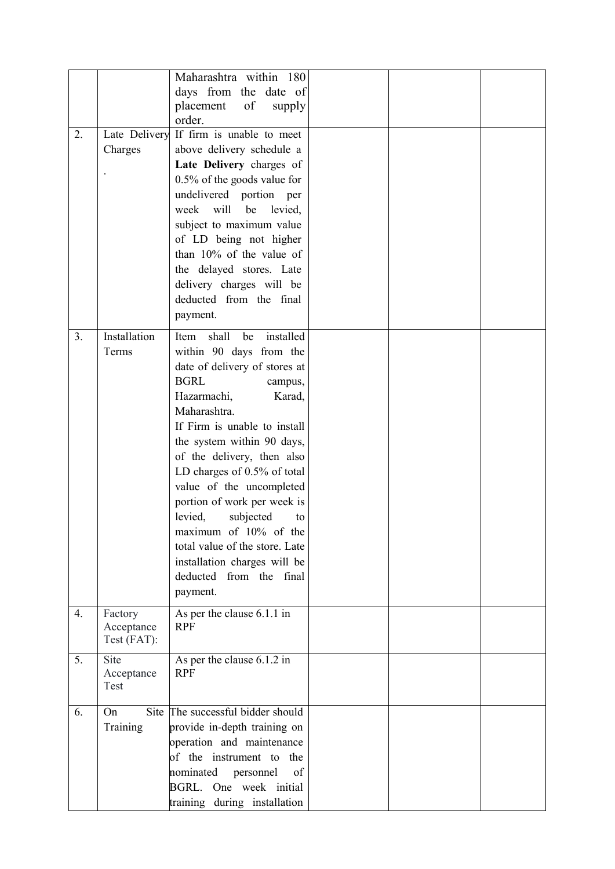|    |                                      | Maharashtra within 180<br>days from the date of<br>placement<br>of<br>supply<br>order.<br>If firm is unable to meet                                                                                                                                                                                                                                                                                                                                                                                                   |  |  |
|----|--------------------------------------|-----------------------------------------------------------------------------------------------------------------------------------------------------------------------------------------------------------------------------------------------------------------------------------------------------------------------------------------------------------------------------------------------------------------------------------------------------------------------------------------------------------------------|--|--|
| 2. | Late Delivery<br>Charges             | above delivery schedule a<br>Late Delivery charges of<br>0.5% of the goods value for<br>undelivered portion per<br>will<br>be<br>week<br>levied,<br>subject to maximum value<br>of LD being not higher<br>than $10\%$ of the value of<br>the delayed stores. Late<br>delivery charges will be<br>deducted from the final<br>payment.                                                                                                                                                                                  |  |  |
| 3. | Installation<br>Terms                | shall<br>installed<br>Item<br>be<br>within 90 days from the<br>date of delivery of stores at<br><b>BGRL</b><br>campus,<br>Hazarmachi,<br>Karad,<br>Maharashtra.<br>If Firm is unable to install<br>the system within 90 days,<br>of the delivery, then also<br>LD charges of 0.5% of total<br>value of the uncompleted<br>portion of work per week is<br>levied,<br>subjected<br>to<br>maximum of 10% of the<br>total value of the store. Late<br>installation charges will be<br>deducted from the final<br>payment. |  |  |
| 4. | Factory<br>Acceptance<br>Test (FAT): | As per the clause 6.1.1 in<br><b>RPF</b>                                                                                                                                                                                                                                                                                                                                                                                                                                                                              |  |  |
| 5. | Site<br>Acceptance<br>Test           | As per the clause 6.1.2 in<br><b>RPF</b>                                                                                                                                                                                                                                                                                                                                                                                                                                                                              |  |  |
| 6. | On<br>Training                       | Site The successful bidder should<br>provide in-depth training on<br>operation and maintenance<br>of the instrument to the<br>nominated<br>of<br>personnel<br>BGRL. One week initial<br>training during installation                                                                                                                                                                                                                                                                                                  |  |  |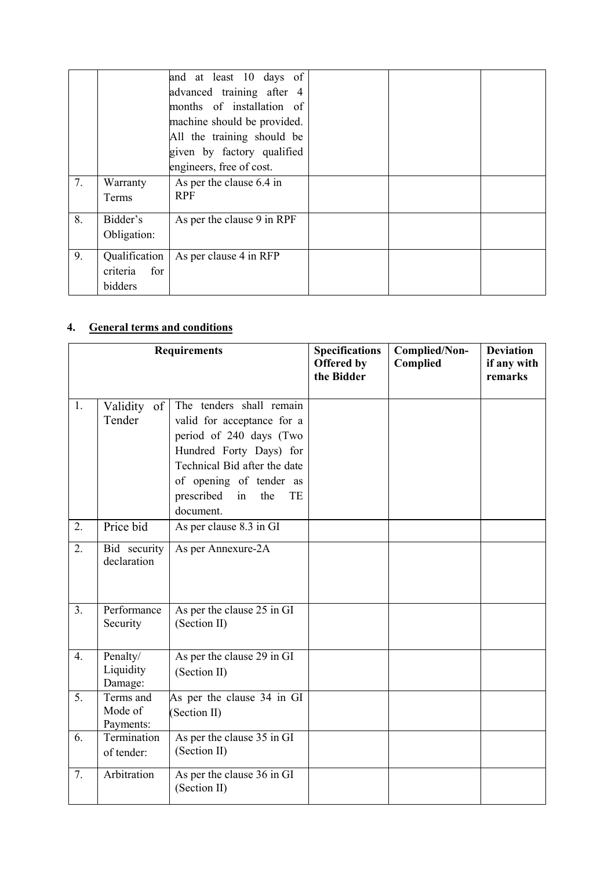|    |                                             | and at least 10 days of<br>advanced training after 4<br>months of installation of<br>machine should be provided. |  |  |
|----|---------------------------------------------|------------------------------------------------------------------------------------------------------------------|--|--|
|    |                                             | All the training should be<br>given by factory qualified<br>engineers, free of cost.                             |  |  |
| 7. | Warranty<br>Terms                           | As per the clause 6.4 in<br><b>RPF</b>                                                                           |  |  |
| 8. | Bidder's<br>Obligation:                     | As per the clause 9 in RPF                                                                                       |  |  |
| 9. | Qualification<br>for<br>criteria<br>bidders | As per clause 4 in RFP                                                                                           |  |  |

# 4. General terms and conditions

|                |                                   | <b>Requirements</b>                                                                                                                                                                                                   | <b>Specifications</b><br>Offered by<br>the Bidder | Complied/Non-<br>Complied | <b>Deviation</b><br>if any with<br>remarks |
|----------------|-----------------------------------|-----------------------------------------------------------------------------------------------------------------------------------------------------------------------------------------------------------------------|---------------------------------------------------|---------------------------|--------------------------------------------|
| 1.             | Validity of<br>Tender             | The tenders shall remain<br>valid for acceptance for a<br>period of 240 days (Two<br>Hundred Forty Days) for<br>Technical Bid after the date<br>of opening of tender as<br>prescribed<br>in<br>the<br>TE<br>document. |                                                   |                           |                                            |
| 2.             | Price bid                         | As per clause 8.3 in GI                                                                                                                                                                                               |                                                   |                           |                                            |
| 2.             | Bid security<br>declaration       | As per Annexure-2A                                                                                                                                                                                                    |                                                   |                           |                                            |
| 3 <sub>1</sub> | Performance<br>Security           | As per the clause 25 in GI<br>(Section II)                                                                                                                                                                            |                                                   |                           |                                            |
| 4.             | Penalty/<br>Liquidity<br>Damage:  | As per the clause 29 in GI<br>(Section II)                                                                                                                                                                            |                                                   |                           |                                            |
| 5.             | Terms and<br>Mode of<br>Payments: | As per the clause 34 in GI<br>(Section II)                                                                                                                                                                            |                                                   |                           |                                            |
| 6.             | Termination<br>of tender:         | As per the clause 35 in GI<br>(Section II)                                                                                                                                                                            |                                                   |                           |                                            |
| 7.             | Arbitration                       | As per the clause 36 in GI<br>(Section II)                                                                                                                                                                            |                                                   |                           |                                            |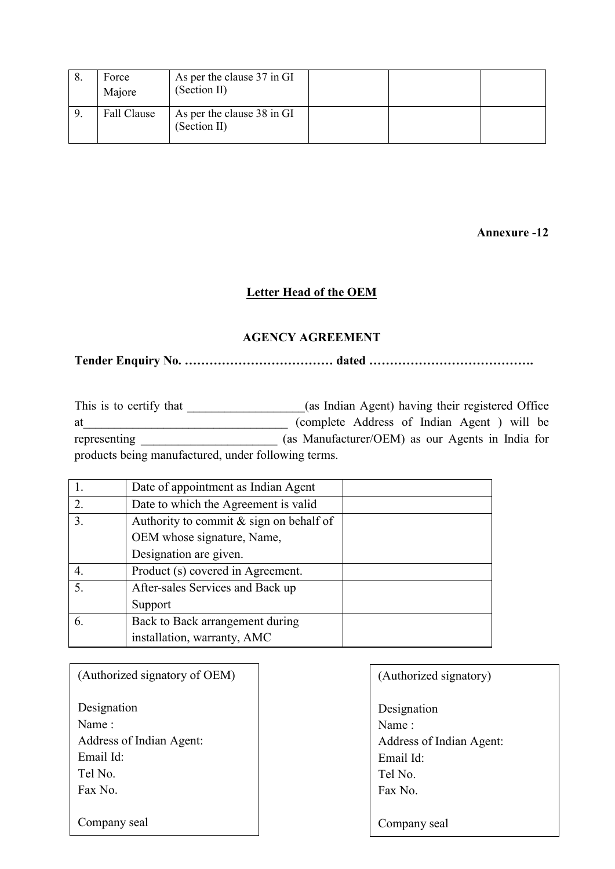| Force<br>Majore | As per the clause 37 in GI<br>(Section II) |  |  |
|-----------------|--------------------------------------------|--|--|
| Fall Clause     | As per the clause 38 in GI<br>(Section II) |  |  |

Annexure -12

## Letter Head of the OEM

## AGENCY AGREEMENT

Tender Enquiry No. ……………………………… dated ………………………………….

This is to certify that \_\_\_\_\_\_\_\_\_\_\_\_\_\_\_(as Indian Agent) having their registered Office at (complete Address of Indian Agent ) will be representing \_\_\_\_\_\_\_\_\_\_\_\_\_\_\_\_\_\_\_\_\_\_ (as Manufacturer/OEM) as our Agents in India for products being manufactured, under following terms.

|    | Date of appointment as Indian Agent       |  |
|----|-------------------------------------------|--|
| 2. | Date to which the Agreement is valid      |  |
| 3. | Authority to commit $&$ sign on behalf of |  |
|    | OEM whose signature, Name,                |  |
|    | Designation are given.                    |  |
|    | Product (s) covered in Agreement.         |  |
| 5. | After-sales Services and Back up          |  |
|    | Support                                   |  |
| 6. | Back to Back arrangement during           |  |
|    | installation, warranty, AMC               |  |
|    |                                           |  |

| (Authorized signatory of OEM) | (Authorized signatory)   |
|-------------------------------|--------------------------|
| Designation                   | Designation              |
| Name:                         | Name:                    |
| Address of Indian Agent:      | Address of Indian Agent: |
| Email Id:                     | Email Id:                |
| Tel No.                       | Tel No.                  |
| Fax No.                       | Fax No.                  |
|                               |                          |
| Company seal                  | Company seal             |
|                               |                          |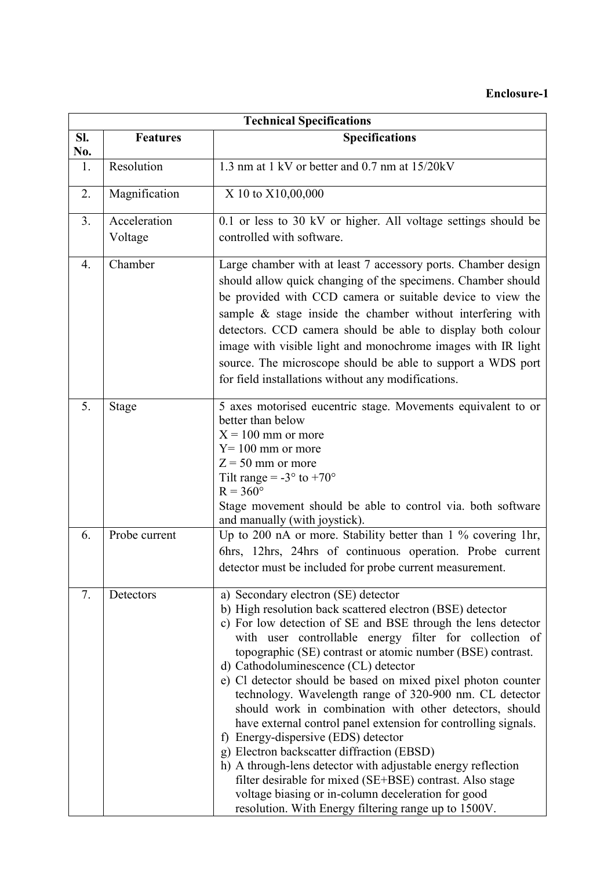## Enclosure-1

|                | <b>Technical Specifications</b> |                                                                                                                                                                                                                                                                                                                                                                                                                                                                                                                                                                                                                                                                                                                                                                                                                                                                                                                         |  |  |
|----------------|---------------------------------|-------------------------------------------------------------------------------------------------------------------------------------------------------------------------------------------------------------------------------------------------------------------------------------------------------------------------------------------------------------------------------------------------------------------------------------------------------------------------------------------------------------------------------------------------------------------------------------------------------------------------------------------------------------------------------------------------------------------------------------------------------------------------------------------------------------------------------------------------------------------------------------------------------------------------|--|--|
| Sl.<br>No.     | <b>Features</b>                 | <b>Specifications</b>                                                                                                                                                                                                                                                                                                                                                                                                                                                                                                                                                                                                                                                                                                                                                                                                                                                                                                   |  |  |
| 1.             | Resolution                      | 1.3 nm at 1 kV or better and 0.7 nm at 15/20kV                                                                                                                                                                                                                                                                                                                                                                                                                                                                                                                                                                                                                                                                                                                                                                                                                                                                          |  |  |
| 2.             | Magnification                   | X 10 to X10,00,000                                                                                                                                                                                                                                                                                                                                                                                                                                                                                                                                                                                                                                                                                                                                                                                                                                                                                                      |  |  |
| 3 <sub>1</sub> | Acceleration<br>Voltage         | 0.1 or less to 30 kV or higher. All voltage settings should be<br>controlled with software.                                                                                                                                                                                                                                                                                                                                                                                                                                                                                                                                                                                                                                                                                                                                                                                                                             |  |  |
| 4.             | Chamber                         | Large chamber with at least 7 accessory ports. Chamber design<br>should allow quick changing of the specimens. Chamber should<br>be provided with CCD camera or suitable device to view the<br>sample $\&$ stage inside the chamber without interfering with<br>detectors. CCD camera should be able to display both colour<br>image with visible light and monochrome images with IR light<br>source. The microscope should be able to support a WDS port<br>for field installations without any modifications.                                                                                                                                                                                                                                                                                                                                                                                                        |  |  |
| 5.             | <b>Stage</b>                    | 5 axes motorised eucentric stage. Movements equivalent to or<br>better than below<br>$X = 100$ mm or more<br>$Y = 100$ mm or more<br>$Z = 50$ mm or more<br>Tilt range = $-3^\circ$ to $+70^\circ$<br>$R = 360^\circ$<br>Stage movement should be able to control via. both software<br>and manually (with joystick).                                                                                                                                                                                                                                                                                                                                                                                                                                                                                                                                                                                                   |  |  |
| 6.             | Probe current                   | Up to 200 nA or more. Stability better than 1 % covering 1hr,<br>6hrs, 12hrs, 24hrs of continuous operation. Probe current<br>detector must be included for probe current measurement.                                                                                                                                                                                                                                                                                                                                                                                                                                                                                                                                                                                                                                                                                                                                  |  |  |
| 7.             | Detectors                       | a) Secondary electron (SE) detector<br>b) High resolution back scattered electron (BSE) detector<br>c) For low detection of SE and BSE through the lens detector<br>with user controllable energy filter for collection of<br>topographic (SE) contrast or atomic number (BSE) contrast.<br>d) Cathodoluminescence (CL) detector<br>e) Cl detector should be based on mixed pixel photon counter<br>technology. Wavelength range of 320-900 nm. CL detector<br>should work in combination with other detectors, should<br>have external control panel extension for controlling signals.<br>f) Energy-dispersive (EDS) detector<br>g) Electron backscatter diffraction (EBSD)<br>h) A through-lens detector with adjustable energy reflection<br>filter desirable for mixed (SE+BSE) contrast. Also stage<br>voltage biasing or in-column deceleration for good<br>resolution. With Energy filtering range up to 1500V. |  |  |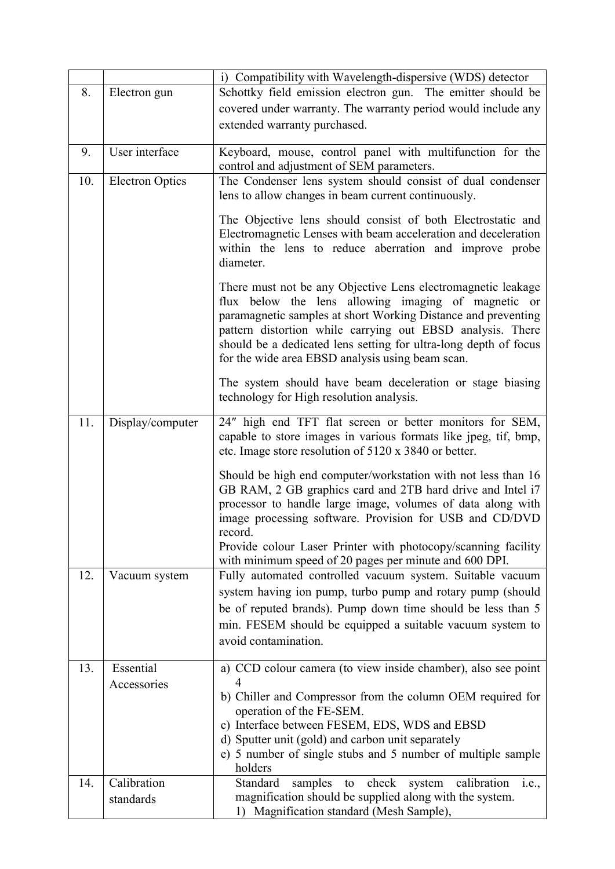|     |                        | i) Compatibility with Wavelength-dispersive (WDS) detector                                                                                                                                                                                                                                                                                                                 |
|-----|------------------------|----------------------------------------------------------------------------------------------------------------------------------------------------------------------------------------------------------------------------------------------------------------------------------------------------------------------------------------------------------------------------|
| 8.  | Electron gun           | Schottky field emission electron gun. The emitter should be                                                                                                                                                                                                                                                                                                                |
|     |                        | covered under warranty. The warranty period would include any                                                                                                                                                                                                                                                                                                              |
|     |                        | extended warranty purchased.                                                                                                                                                                                                                                                                                                                                               |
|     |                        |                                                                                                                                                                                                                                                                                                                                                                            |
| 9.  | User interface         | Keyboard, mouse, control panel with multifunction for the<br>control and adjustment of SEM parameters.                                                                                                                                                                                                                                                                     |
| 10. | <b>Electron Optics</b> | The Condenser lens system should consist of dual condenser<br>lens to allow changes in beam current continuously.                                                                                                                                                                                                                                                          |
|     |                        | The Objective lens should consist of both Electrostatic and<br>Electromagnetic Lenses with beam acceleration and deceleration<br>within the lens to reduce aberration and improve probe<br>diameter.                                                                                                                                                                       |
|     |                        | There must not be any Objective Lens electromagnetic leakage<br>flux below the lens allowing imaging of magnetic or<br>paramagnetic samples at short Working Distance and preventing<br>pattern distortion while carrying out EBSD analysis. There<br>should be a dedicated lens setting for ultra-long depth of focus<br>for the wide area EBSD analysis using beam scan. |
|     |                        | The system should have beam deceleration or stage biasing<br>technology for High resolution analysis.                                                                                                                                                                                                                                                                      |
| 11. | Display/computer       | 24" high end TFT flat screen or better monitors for SEM,<br>capable to store images in various formats like jpeg, tif, bmp,<br>etc. Image store resolution of 5120 x 3840 or better.                                                                                                                                                                                       |
|     |                        | Should be high end computer/workstation with not less than 16<br>GB RAM, 2 GB graphics card and 2TB hard drive and Intel i7<br>processor to handle large image, volumes of data along with<br>image processing software. Provision for USB and CD/DVD<br>record.                                                                                                           |
|     |                        | Provide colour Laser Printer with photocopy/scanning facility<br>with minimum speed of 20 pages per minute and 600 DPI.                                                                                                                                                                                                                                                    |
| 12. | Vacuum system          | Fully automated controlled vacuum system. Suitable vacuum                                                                                                                                                                                                                                                                                                                  |
|     |                        | system having ion pump, turbo pump and rotary pump (should                                                                                                                                                                                                                                                                                                                 |
|     |                        | be of reputed brands). Pump down time should be less than 5                                                                                                                                                                                                                                                                                                                |
|     |                        | min. FESEM should be equipped a suitable vacuum system to                                                                                                                                                                                                                                                                                                                  |
|     |                        | avoid contamination.                                                                                                                                                                                                                                                                                                                                                       |
| 13. | Essential              | a) CCD colour camera (to view inside chamber), also see point                                                                                                                                                                                                                                                                                                              |
|     | Accessories            | 4<br>b) Chiller and Compressor from the column OEM required for<br>operation of the FE-SEM.                                                                                                                                                                                                                                                                                |
|     |                        | c) Interface between FESEM, EDS, WDS and EBSD                                                                                                                                                                                                                                                                                                                              |
|     |                        | d) Sputter unit (gold) and carbon unit separately                                                                                                                                                                                                                                                                                                                          |
|     |                        | e) 5 number of single stubs and 5 number of multiple sample<br>holders                                                                                                                                                                                                                                                                                                     |
| 14. | Calibration            | Standard<br>samples<br>check<br>calibration<br>to<br>system<br>1.e.,                                                                                                                                                                                                                                                                                                       |
|     | standards              | magnification should be supplied along with the system.<br>1) Magnification standard (Mesh Sample),                                                                                                                                                                                                                                                                        |
|     |                        |                                                                                                                                                                                                                                                                                                                                                                            |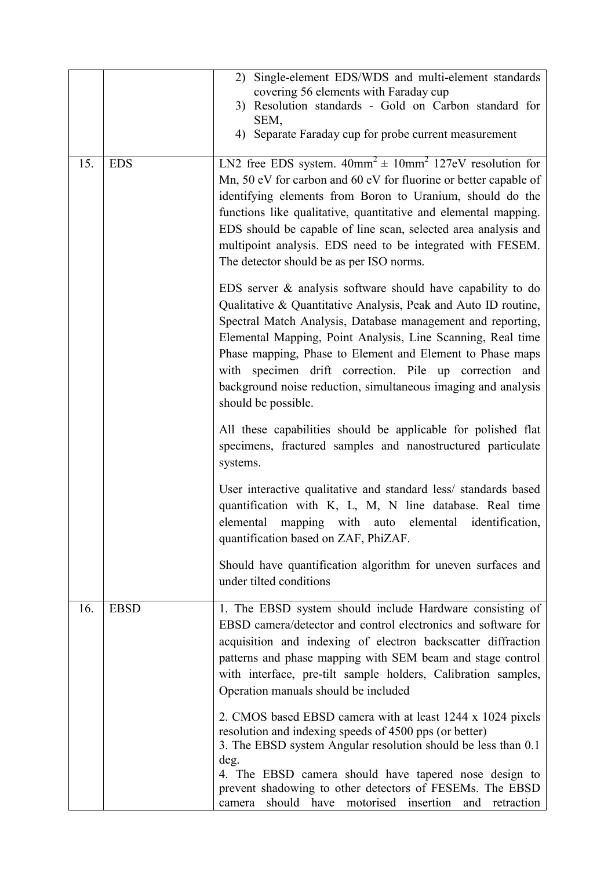|     |             | Single-element EDS/WDS and multi-element standards<br>2)<br>covering 56 elements with Faraday cup<br>3) Resolution standards - Gold on Carbon standard for<br>SEM,<br>4) Separate Faraday cup for probe current measurement                                                                                                                                                                                                                                                   |
|-----|-------------|-------------------------------------------------------------------------------------------------------------------------------------------------------------------------------------------------------------------------------------------------------------------------------------------------------------------------------------------------------------------------------------------------------------------------------------------------------------------------------|
| 15. | <b>EDS</b>  | LN2 free EDS system. $40mm^2 \pm 10mm^2$ 127eV resolution for<br>Mn, 50 eV for carbon and 60 eV for fluorine or better capable of<br>identifying elements from Boron to Uranium, should do the<br>functions like qualitative, quantitative and elemental mapping.<br>EDS should be capable of line scan, selected area analysis and<br>multipoint analysis. EDS need to be integrated with FESEM.<br>The detector should be as per ISO norms.                                 |
|     |             | EDS server $\&$ analysis software should have capability to do<br>Qualitative & Quantitative Analysis, Peak and Auto ID routine,<br>Spectral Match Analysis, Database management and reporting,<br>Elemental Mapping, Point Analysis, Line Scanning, Real time<br>Phase mapping, Phase to Element and Element to Phase maps<br>with specimen drift correction. Pile up correction and<br>background noise reduction, simultaneous imaging and analysis<br>should be possible. |
|     |             | All these capabilities should be applicable for polished flat<br>specimens, fractured samples and nanostructured particulate<br>systems.                                                                                                                                                                                                                                                                                                                                      |
|     |             | User interactive qualitative and standard less/ standards based<br>quantification with K, L, M, N line database. Real time<br>elemental mapping with auto elemental identification,<br>quantification based on ZAF, PhiZAF.                                                                                                                                                                                                                                                   |
|     |             | Should have quantification algorithm for uneven surfaces and<br>under tilted conditions                                                                                                                                                                                                                                                                                                                                                                                       |
| 16. | <b>EBSD</b> | 1. The EBSD system should include Hardware consisting of<br>EBSD camera/detector and control electronics and software for<br>acquisition and indexing of electron backscatter diffraction<br>patterns and phase mapping with SEM beam and stage control<br>with interface, pre-tilt sample holders, Calibration samples,<br>Operation manuals should be included                                                                                                              |
|     |             | 2. CMOS based EBSD camera with at least 1244 x 1024 pixels<br>resolution and indexing speeds of 4500 pps (or better)<br>3. The EBSD system Angular resolution should be less than 0.1<br>deg.<br>4. The EBSD camera should have tapered nose design to<br>prevent shadowing to other detectors of FESEMs. The EBSD<br>should have<br>motorised insertion<br>and<br>retraction<br>camera                                                                                       |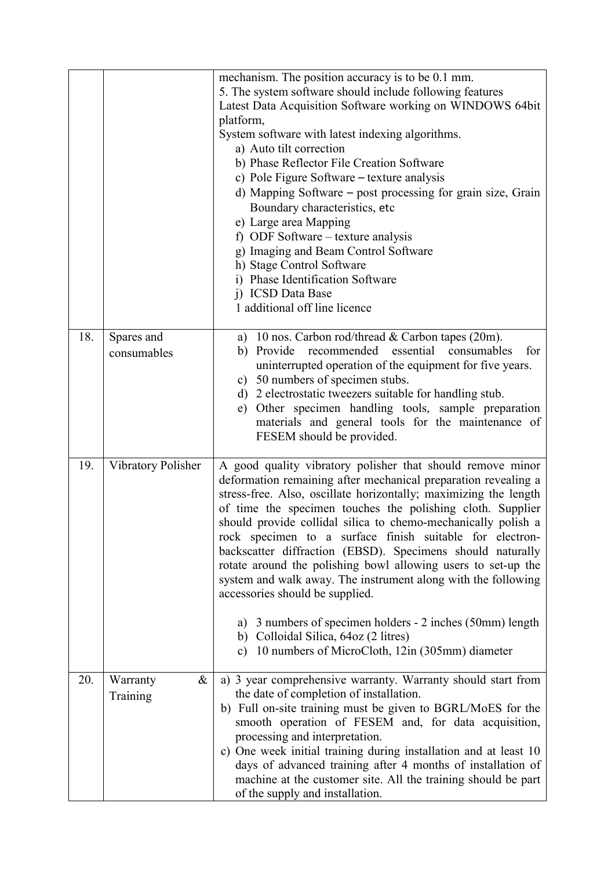|     |                           | mechanism. The position accuracy is to be 0.1 mm.<br>5. The system software should include following features<br>Latest Data Acquisition Software working on WINDOWS 64bit<br>platform,<br>System software with latest indexing algorithms.<br>a) Auto tilt correction<br>b) Phase Reflector File Creation Software<br>c) Pole Figure Software – texture analysis<br>d) Mapping Software – post processing for grain size, Grain<br>Boundary characteristics, etc<br>e) Large area Mapping<br>f) ODF Software – texture analysis<br>g) Imaging and Beam Control Software<br>h) Stage Control Software<br>i) Phase Identification Software<br>j) ICSD Data Base<br>1 additional off line licence                                                                                           |
|-----|---------------------------|-------------------------------------------------------------------------------------------------------------------------------------------------------------------------------------------------------------------------------------------------------------------------------------------------------------------------------------------------------------------------------------------------------------------------------------------------------------------------------------------------------------------------------------------------------------------------------------------------------------------------------------------------------------------------------------------------------------------------------------------------------------------------------------------|
| 18. | Spares and<br>consumables | a) 10 nos. Carbon rod/thread & Carbon tapes (20m).<br>recommended<br>essential<br>b) Provide<br>consumables<br>for<br>uninterrupted operation of the equipment for five years.<br>c) 50 numbers of specimen stubs.<br>d) 2 electrostatic tweezers suitable for handling stub.<br>Other specimen handling tools, sample preparation<br>e)<br>materials and general tools for the maintenance of<br>FESEM should be provided.                                                                                                                                                                                                                                                                                                                                                               |
| 19. | Vibratory Polisher        | A good quality vibratory polisher that should remove minor<br>deformation remaining after mechanical preparation revealing a<br>stress-free. Also, oscillate horizontally; maximizing the length<br>of time the specimen touches the polishing cloth. Supplier<br>should provide collidal silica to chemo-mechanically polish a<br>rock specimen to a surface finish suitable for electron-<br>backscatter diffraction (EBSD). Specimens should naturally<br>rotate around the polishing bowl allowing users to set-up the<br>system and walk away. The instrument along with the following<br>accessories should be supplied.<br>a) 3 numbers of specimen holders - 2 inches (50mm) length<br>b) Colloidal Silica, 64oz (2 litres)<br>c) 10 numbers of MicroCloth, 12in (305mm) diameter |
| 20. | Warranty<br>&<br>Training | a) 3 year comprehensive warranty. Warranty should start from<br>the date of completion of installation.<br>b) Full on-site training must be given to BGRL/MoES for the<br>smooth operation of FESEM and, for data acquisition,<br>processing and interpretation.<br>c) One week initial training during installation and at least 10<br>days of advanced training after 4 months of installation of<br>machine at the customer site. All the training should be part<br>of the supply and installation.                                                                                                                                                                                                                                                                                   |